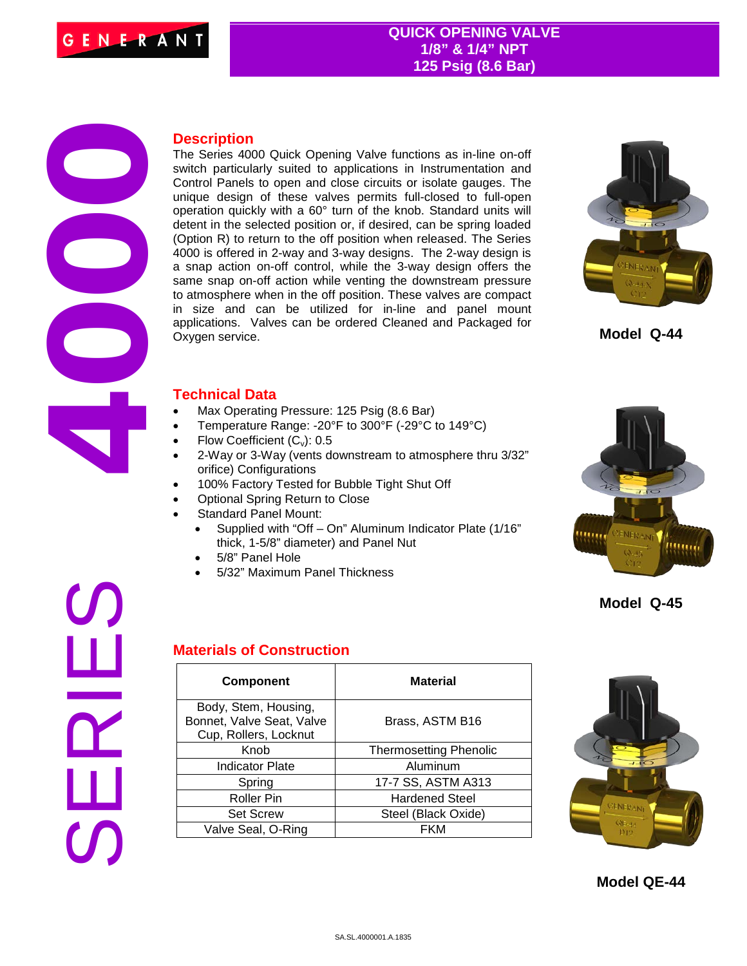

SERIES

#### **Description**

The Series 4000 Quick Opening Valve functions as in-line on-off switch particularly suited to applications in Instrumentation and Control Panels to open and close circuits or isolate gauges. The unique design of these valves permits full-closed to full-open operation quickly with a 60° turn of the knob. Standard units will detent in the selected position or, if desired, can be spring loaded (Option R) to return to the off position when released. The Series 4000 is offered in 2-way and 3-way designs. The 2-way design is a snap action on-off control, while the 3-way design offers the same snap on-off action while venting the downstream pressure to atmosphere when in the off position. These valves are compact in size and can be utilized for in-line and panel mount applications. Valves can be ordered Cleaned and Packaged for Oxygen service.



**Model Q-44**

### **Technical Data**

- Max Operating Pressure: 125 Psig (8.6 Bar)
- Temperature Range: -20°F to 300°F (-29°C to 149°C)
- Flow Coefficient  $(C_v)$ : 0.5
- 2-Way or 3-Way (vents downstream to atmosphere thru 3/32" orifice) Configurations
- 100% Factory Tested for Bubble Tight Shut Off
- Optional Spring Return to Close
- Standard Panel Mount:
	- Supplied with "Off On" Aluminum Indicator Plate (1/16" thick, 1-5/8" diameter) and Panel Nut
	- 5/8" Panel Hole
	- 5/32" Maximum Panel Thickness



**Model Q-45**

# **Materials of Construction**

| <b>Component</b>                                                           | <b>Material</b>               |
|----------------------------------------------------------------------------|-------------------------------|
| Body, Stem, Housing,<br>Bonnet, Valve Seat, Valve<br>Cup, Rollers, Locknut | Brass, ASTM B16               |
| Knob                                                                       | <b>Thermosetting Phenolic</b> |
| <b>Indicator Plate</b>                                                     | Aluminum                      |
| Spring                                                                     | 17-7 SS, ASTM A313            |
| <b>Roller Pin</b>                                                          | <b>Hardened Steel</b>         |
| <b>Set Screw</b>                                                           | Steel (Black Oxide)           |
| Valve Seal, O-Ring                                                         |                               |



## **Model QE-44**